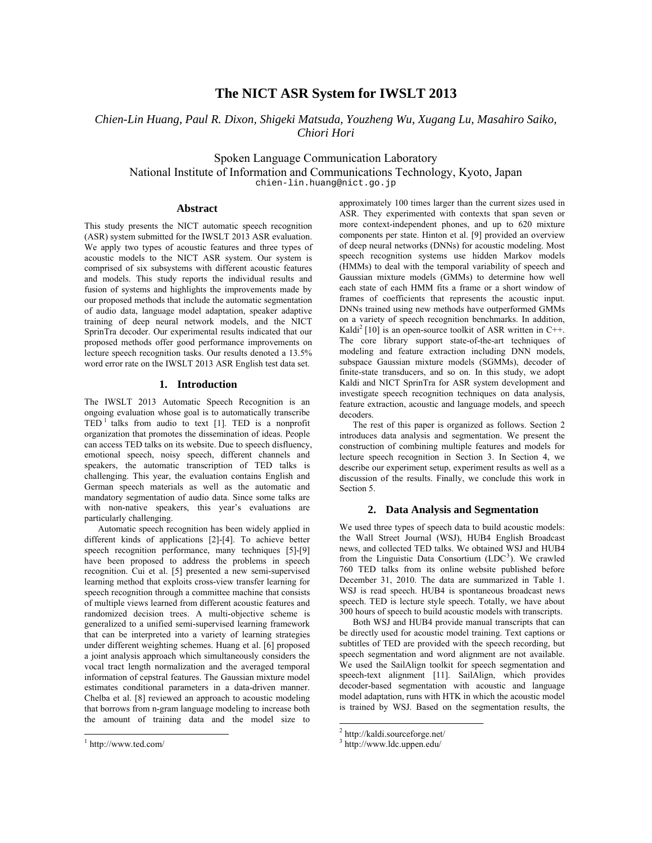# **The NICT ASR System for IWSLT 2013**

*Chien-Lin Huang, Paul R. Dixon, Shigeki Matsuda, Youzheng Wu, Xugang Lu, Masahiro Saiko, Chiori Hori* 

Spoken Language Communication Laboratory National Institute of Information and Communications Technology, Kyoto, Japan chien-lin.huang@nict.go.jp

# **Abstract**

This study presents the NICT automatic speech recognition (ASR) system submitted for the IWSLT 2013 ASR evaluation. We apply two types of acoustic features and three types of acoustic models to the NICT ASR system. Our system is comprised of six subsystems with different acoustic features and models. This study reports the individual results and fusion of systems and highlights the improvements made by our proposed methods that include the automatic segmentation of audio data, language model adaptation, speaker adaptive training of deep neural network models, and the NICT SprinTra decoder. Our experimental results indicated that our proposed methods offer good performance improvements on lecture speech recognition tasks. Our results denoted a 13.5% word error rate on the IWSLT 2013 ASR English test data set.

# **1. Introduction**

The IWSLT 2013 Automatic Speech Recognition is an ongoing evaluation whose goal is to automatically transcribe  $TED<sup>1</sup>$  talks from audio to text [1]. TED is a nonprofit organization that promotes the dissemination of ideas. People can access TED talks on its website. Due to speech disfluency, emotional speech, noisy speech, different channels and speakers, the automatic transcription of TED talks is challenging. This year, the evaluation contains English and German speech materials as well as the automatic and mandatory segmentation of audio data. Since some talks are with non-native speakers, this year's evaluations are particularly challenging.

Automatic speech recognition has been widely applied in different kinds of applications [2]-[4]. To achieve better speech recognition performance, many techniques [5]-[9] have been proposed to address the problems in speech recognition. Cui et al. [5] presented a new semi-supervised learning method that exploits cross-view transfer learning for speech recognition through a committee machine that consists of multiple views learned from different acoustic features and randomized decision trees. A multi-objective scheme is generalized to a unified semi-supervised learning framework that can be interpreted into a variety of learning strategies under different weighting schemes. Huang et al. [6] proposed a joint analysis approach which simultaneously considers the vocal tract length normalization and the averaged temporal information of cepstral features. The Gaussian mixture model estimates conditional parameters in a data-driven manner. Chelba et al. [8] reviewed an approach to acoustic modeling that borrows from n-gram language modeling to increase both the amount of training data and the model size to

l

approximately 100 times larger than the current sizes used in ASR. They experimented with contexts that span seven or more context-independent phones, and up to 620 mixture components per state. Hinton et al. [9] provided an overview of deep neural networks (DNNs) for acoustic modeling. Most speech recognition systems use hidden Markov models (HMMs) to deal with the temporal variability of speech and Gaussian mixture models (GMMs) to determine how well each state of each HMM fits a frame or a short window of frames of coefficients that represents the acoustic input. DNNs trained using new methods have outperformed GMMs on a variety of speech recognition benchmarks. In addition, Kaldi<sup>2</sup> [10] is an open-source toolkit of ASR written in C++. The core library support state-of-the-art techniques of modeling and feature extraction including DNN models, subspace Gaussian mixture models (SGMMs), decoder of finite-state transducers, and so on. In this study, we adopt Kaldi and NICT SprinTra for ASR system development and investigate speech recognition techniques on data analysis, feature extraction, acoustic and language models, and speech decoders.

The rest of this paper is organized as follows. Section 2 introduces data analysis and segmentation. We present the construction of combining multiple features and models for lecture speech recognition in Section 3. In Section 4, we describe our experiment setup, experiment results as well as a discussion of the results. Finally, we conclude this work in Section 5.

# **2. Data Analysis and Segmentation**

We used three types of speech data to build acoustic models: the Wall Street Journal (WSJ), HUB4 English Broadcast news, and collected TED talks. We obtained WSJ and HUB4 from the Linguistic Data Consortium  $(LDC<sup>3</sup>)$ . We crawled 760 TED talks from its online website published before December 31, 2010. The data are summarized in Table 1. WSJ is read speech. HUB4 is spontaneous broadcast news speech. TED is lecture style speech. Totally, we have about 300 hours of speech to build acoustic models with transcripts.

Both WSJ and HUB4 provide manual transcripts that can be directly used for acoustic model training. Text captions or subtitles of TED are provided with the speech recording, but speech segmentation and word alignment are not available. We used the SailAlign toolkit for speech segmentation and speech-text alignment [11]. SailAlign, which provides decoder-based segmentation with acoustic and language model adaptation, runs with HTK in which the acoustic model is trained by WSJ. Based on the segmentation results, the

l

<sup>1</sup> http://www.ted.com/

<sup>2</sup> http://kaldi.sourceforge.net/

<sup>3</sup> http://www.ldc.uppen.edu/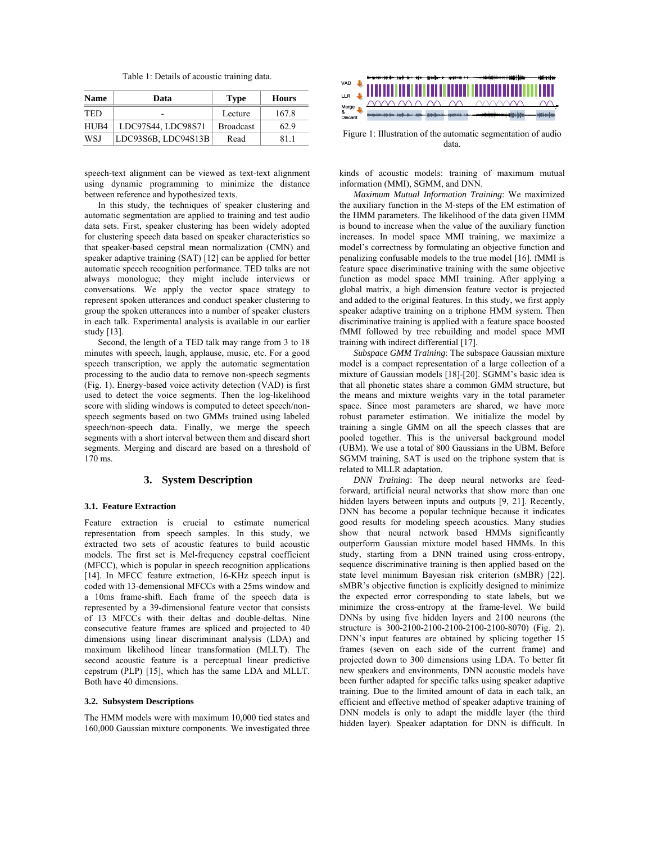Table 1: Details of acoustic training data.

| <b>Name</b> | Data                | <b>Type</b>      | <b>Hours</b> |  |
|-------------|---------------------|------------------|--------------|--|
| <b>TED</b>  | -                   | Lecture          | 167.8        |  |
| HUB4        | LDC97S44, LDC98S71  | <b>Broadcast</b> | 62.9         |  |
| WSJ         | LDC93S6B, LDC94S13B | Read             | 811          |  |

speech-text alignment can be viewed as text-text alignment using dynamic programming to minimize the distance between reference and hypothesized texts.

In this study, the techniques of speaker clustering and automatic segmentation are applied to training and test audio data sets. First, speaker clustering has been widely adopted for clustering speech data based on speaker characteristics so that speaker-based cepstral mean normalization (CMN) and speaker adaptive training (SAT) [12] can be applied for better automatic speech recognition performance. TED talks are not always monologue; they might include interviews or conversations. We apply the vector space strategy to represent spoken utterances and conduct speaker clustering to group the spoken utterances into a number of speaker clusters in each talk. Experimental analysis is available in our earlier study [13].

Second, the length of a TED talk may range from 3 to 18 minutes with speech, laugh, applause, music, etc. For a good speech transcription, we apply the automatic segmentation processing to the audio data to remove non-speech segments (Fig. 1). Energy-based voice activity detection (VAD) is first used to detect the voice segments. Then the log-likelihood score with sliding windows is computed to detect speech/nonspeech segments based on two GMMs trained using labeled speech/non-speech data. Finally, we merge the speech segments with a short interval between them and discard short segments. Merging and discard are based on a threshold of 170 ms.

# **3. System Description**

#### **3.1. Feature Extraction**

Feature extraction is crucial to estimate numerical representation from speech samples. In this study, we extracted two sets of acoustic features to build acoustic models. The first set is Mel-frequency cepstral coefficient (MFCC), which is popular in speech recognition applications [14]. In MFCC feature extraction, 16-KHz speech input is coded with 13-demensional MFCCs with a 25ms window and a 10ms frame-shift. Each frame of the speech data is represented by a 39-dimensional feature vector that consists of 13 MFCCs with their deltas and double-deltas. Nine consecutive feature frames are spliced and projected to 40 dimensions using linear discriminant analysis (LDA) and maximum likelihood linear transformation (MLLT). The second acoustic feature is a perceptual linear predictive cepstrum (PLP) [15], which has the same LDA and MLLT. Both have 40 dimensions.

#### **3.2. Subsystem Descriptions**

The HMM models were with maximum 10,000 tied states and 160,000 Gaussian mixture components. We investigated three



Figure 1: Illustration of the automatic segmentation of audio data.

kinds of acoustic models: training of maximum mutual information (MMI), SGMM, and DNN.

*Maximum Mutual Information Training*: We maximized the auxiliary function in the M-steps of the EM estimation of the HMM parameters. The likelihood of the data given HMM is bound to increase when the value of the auxiliary function increases. In model space MMI training, we maximize a model's correctness by formulating an objective function and penalizing confusable models to the true model [16]. fMMI is feature space discriminative training with the same objective function as model space MMI training. After applying a global matrix, a high dimension feature vector is projected and added to the original features. In this study, we first apply speaker adaptive training on a triphone HMM system. Then discriminative training is applied with a feature space boosted fMMI followed by tree rebuilding and model space MMI training with indirect differential [17].

*Subspace GMM Training*: The subspace Gaussian mixture model is a compact representation of a large collection of a mixture of Gaussian models [18]-[20]. SGMM's basic idea is that all phonetic states share a common GMM structure, but the means and mixture weights vary in the total parameter space. Since most parameters are shared, we have more robust parameter estimation. We initialize the model by training a single GMM on all the speech classes that are pooled together. This is the universal background model (UBM). We use a total of 800 Gaussians in the UBM. Before SGMM training, SAT is used on the triphone system that is related to MLLR adaptation.

*DNN Training*: The deep neural networks are feedforward, artificial neural networks that show more than one hidden layers between inputs and outputs [9, 21]. Recently, DNN has become a popular technique because it indicates good results for modeling speech acoustics. Many studies show that neural network based HMMs significantly outperform Gaussian mixture model based HMMs. In this study, starting from a DNN trained using cross-entropy, sequence discriminative training is then applied based on the state level minimum Bayesian risk criterion (sMBR) [22]. sMBR's objective function is explicitly designed to minimize the expected error corresponding to state labels, but we minimize the cross-entropy at the frame-level. We build DNNs by using five hidden layers and 2100 neurons (the structure is 300-2100-2100-2100-2100-2100-8070) (Fig. 2). DNN's input features are obtained by splicing together 15 frames (seven on each side of the current frame) and projected down to 300 dimensions using LDA. To better fit new speakers and environments, DNN acoustic models have been further adapted for specific talks using speaker adaptive training. Due to the limited amount of data in each talk, an efficient and effective method of speaker adaptive training of DNN models is only to adapt the middle layer (the third hidden layer). Speaker adaptation for DNN is difficult. In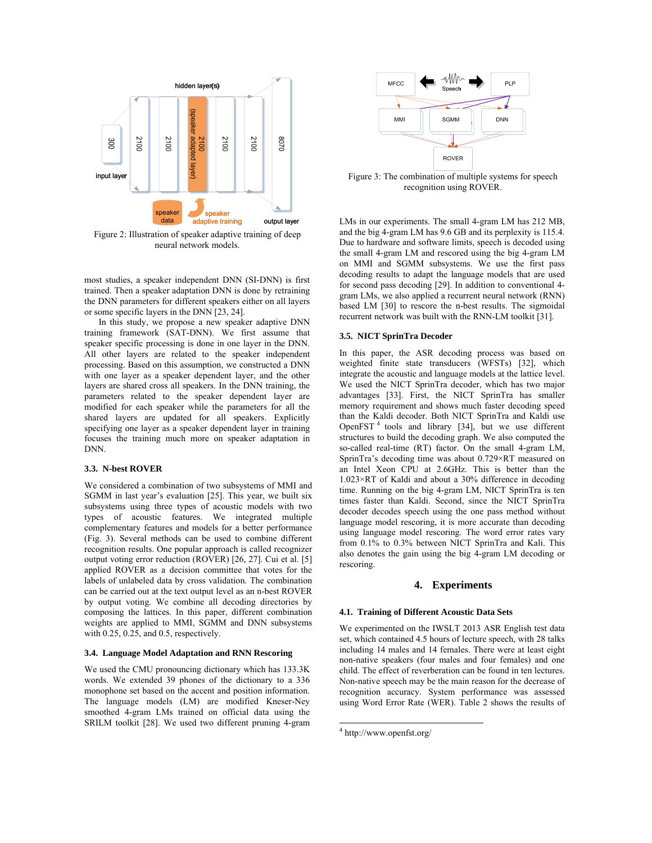

Figure 2: Illustration of speaker adaptive training of deep neural network models.

most studies, a speaker independent DNN (SI-DNN) is first trained. Then a speaker adaptation DNN is done by retraining the DNN parameters for different speakers either on all layers or some specific layers in the DNN [23, 24].

In this study, we propose a new speaker adaptive DNN training framework (SAT-DNN). We first assume that speaker specific processing is done in one layer in the DNN. All other layers are related to the speaker independent processing. Based on this assumption, we constructed a DNN with one layer as a speaker dependent layer, and the other layers are shared cross all speakers. In the DNN training, the parameters related to the speaker dependent layer are modified for each speaker while the parameters for all the shared layers are updated for all speakers. Explicitly specifying one layer as a speaker dependent layer in training focuses the training much more on speaker adaptation in DNN.

### **3.3. N-best ROVER**

We considered a combination of two subsystems of MMI and SGMM in last year's evaluation [25]. This year, we built six subsystems using three types of acoustic models with two types of acoustic features. We integrated multiple complementary features and models for a better performance (Fig. 3). Several methods can be used to combine different recognition results. One popular approach is called recognizer output voting error reduction (ROVER) [26, 27]. Cui et al. [5] applied ROVER as a decision committee that votes for the labels of unlabeled data by cross validation. The combination can be carried out at the text output level as an n-best ROVER by output voting. We combine all decoding directories by composing the lattices. In this paper, different combination weights are applied to MMI, SGMM and DNN subsystems with 0.25, 0.25, and 0.5, respectively.

#### **3.4. Language Model Adaptation and RNN Rescoring**

We used the CMU pronouncing dictionary which has 133.3K words. We extended 39 phones of the dictionary to a 336 monophone set based on the accent and position information. The language models (LM) are modified Kneser-Ney smoothed 4-gram LMs trained on official data using the SRILM toolkit [28]. We used two different pruning 4-gram



Figure 3: The combination of multiple systems for speech recognition using ROVER.

LMs in our experiments. The small 4-gram LM has 212 MB, and the big 4-gram LM has 9.6 GB and its perplexity is 115.4. Due to hardware and software limits, speech is decoded using the small 4-gram LM and rescored using the big 4-gram LM on MMI and SGMM subsystems. We use the first pass decoding results to adapt the language models that are used for second pass decoding [29]. In addition to conventional 4 gram LMs, we also applied a recurrent neural network (RNN) based LM [30] to rescore the n-best results. The sigmoidal recurrent network was built with the RNN-LM toolkit [31].

#### **3.5. NICT SprinTra Decoder**

In this paper, the ASR decoding process was based on weighted finite state transducers (WFSTs) [32], which integrate the acoustic and language models at the lattice level. We used the NICT SprinTra decoder, which has two major advantages [33]. First, the NICT SprinTra has smaller memory requirement and shows much faster decoding speed than the Kaldi decoder. Both NICT SprinTra and Kaldi use OpenFST $<sup>4</sup>$  tools and library [34], but we use different</sup> structures to build the decoding graph. We also computed the so-called real-time (RT) factor. On the small 4-gram LM, SprinTra's decoding time was about 0.729×RT measured on an Intel Xeon CPU at 2.6GHz. This is better than the 1.023×RT of Kaldi and about a 30% difference in decoding time. Running on the big 4-gram LM, NICT SprinTra is ten times faster than Kaldi. Second, since the NICT SprinTra decoder decodes speech using the one pass method without language model rescoring, it is more accurate than decoding using language model rescoring. The word error rates vary from 0.1% to 0.3% between NICT SprinTra and Kali. This also denotes the gain using the big 4-gram LM decoding or rescoring.

# **4. Experiments**

#### **4.1. Training of Different Acoustic Data Sets**

We experimented on the IWSLT 2013 ASR English test data set, which contained 4.5 hours of lecture speech, with 28 talks including 14 males and 14 females. There were at least eight non-native speakers (four males and four females) and one child. The effect of reverberation can be found in ten lectures. Non-native speech may be the main reason for the decrease of recognition accuracy. System performance was assessed using Word Error Rate (WER). Table 2 shows the results of

 $\overline{a}$ 

<sup>4</sup> http://www.openfst.org/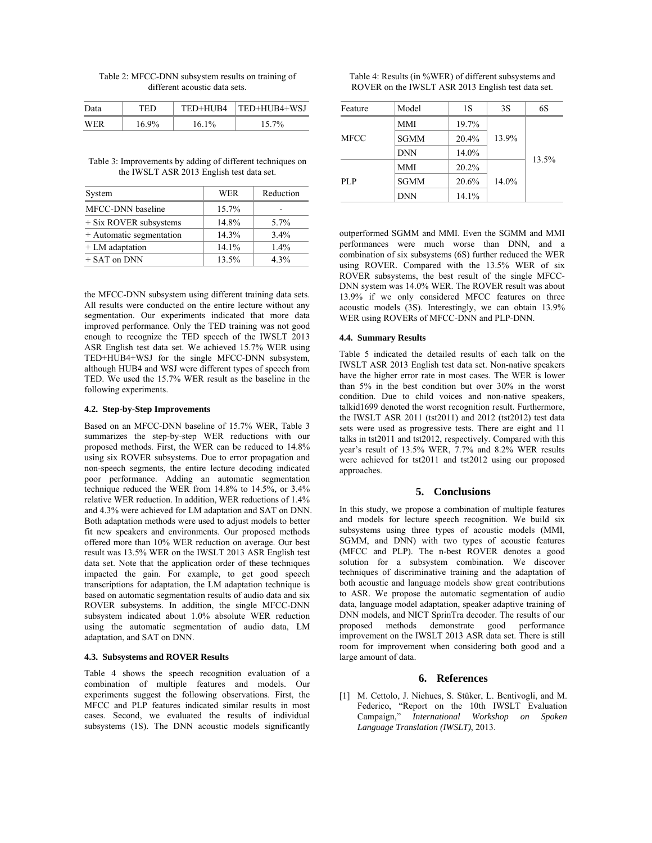| Table 2: MFCC-DNN subsystem results on training of |  |
|----------------------------------------------------|--|
| different acoustic data sets.                      |  |

| Data | TED   |          | TED+HUB4   TED+HUB4+WSJ |  |  |
|------|-------|----------|-------------------------|--|--|
| WER  | 16.9% | $16.1\%$ | 15.7%                   |  |  |

| Table 3: Improvements by adding of different techniques on |
|------------------------------------------------------------|
| the IWSLT ASR 2013 English test data set.                  |

| System                   | <b>WER</b> | Reduction |
|--------------------------|------------|-----------|
| MFCC-DNN baseline        | 15.7%      |           |
| + Six ROVER subsystems   | 14.8%      | $5.7\%$   |
| + Automatic segmentation | 14.3%      | $3.4\%$   |
| $+ LM$ adaptation        | 14.1%      | $1.4\%$   |
| $+$ SAT on DNN           | 13.5%      | $4.3\%$   |

the MFCC-DNN subsystem using different training data sets. All results were conducted on the entire lecture without any segmentation. Our experiments indicated that more data improved performance. Only the TED training was not good enough to recognize the TED speech of the IWSLT 2013 ASR English test data set. We achieved 15.7% WER using TED+HUB4+WSJ for the single MFCC-DNN subsystem, although HUB4 and WSJ were different types of speech from TED. We used the 15.7% WER result as the baseline in the following experiments.

#### **4.2. Step-by-Step Improvements**

Based on an MFCC-DNN baseline of 15.7% WER, Table 3 summarizes the step-by-step WER reductions with our proposed methods. First, the WER can be reduced to 14.8% using six ROVER subsystems. Due to error propagation and non-speech segments, the entire lecture decoding indicated poor performance. Adding an automatic segmentation technique reduced the WER from 14.8% to 14.5%, or 3.4% relative WER reduction. In addition, WER reductions of 1.4% and 4.3% were achieved for LM adaptation and SAT on DNN. Both adaptation methods were used to adjust models to better fit new speakers and environments. Our proposed methods offered more than 10% WER reduction on average. Our best result was 13.5% WER on the IWSLT 2013 ASR English test data set. Note that the application order of these techniques impacted the gain. For example, to get good speech transcriptions for adaptation, the LM adaptation technique is based on automatic segmentation results of audio data and six ROVER subsystems. In addition, the single MFCC-DNN subsystem indicated about 1.0% absolute WER reduction using the automatic segmentation of audio data, LM adaptation, and SAT on DNN.

### **4.3. Subsystems and ROVER Results**

Table 4 shows the speech recognition evaluation of a combination of multiple features and models. Our experiments suggest the following observations. First, the MFCC and PLP features indicated similar results in most cases. Second, we evaluated the results of individual subsystems (1S). The DNN acoustic models significantly

| Table 4: Results (in %WER) of different subsystems and |  |
|--------------------------------------------------------|--|
| ROVER on the IWSLT ASR 2013 English test data set.     |  |

| Feature | Model       | 1S    | 3S    | 6S    |  |
|---------|-------------|-------|-------|-------|--|
|         | <b>MMI</b>  | 19.7% |       |       |  |
| MFCC    | <b>SGMM</b> | 20.4% | 13.9% |       |  |
|         | <b>DNN</b>  | 14.0% |       | 13.5% |  |
|         | <b>MMI</b>  | 20.2% |       |       |  |
| PL P    | <b>SGMM</b> | 20.6% | 14.0% |       |  |
|         | <b>DNN</b>  | 14.1% |       |       |  |

outperformed SGMM and MMI. Even the SGMM and MMI performances were much worse than DNN, and a combination of six subsystems (6S) further reduced the WER using ROVER. Compared with the 13.5% WER of six ROVER subsystems, the best result of the single MFCC-DNN system was 14.0% WER. The ROVER result was about 13.9% if we only considered MFCC features on three acoustic models (3S). Interestingly, we can obtain 13.9% WER using ROVERs of MFCC-DNN and PLP-DNN.

#### **4.4. Summary Results**

Table 5 indicated the detailed results of each talk on the IWSLT ASR 2013 English test data set. Non-native speakers have the higher error rate in most cases. The WER is lower than 5% in the best condition but over 30% in the worst condition. Due to child voices and non-native speakers, talkid1699 denoted the worst recognition result. Furthermore, the IWSLT ASR 2011 (tst2011) and 2012 (tst2012) test data sets were used as progressive tests. There are eight and 11 talks in tst2011 and tst2012, respectively. Compared with this year's result of 13.5% WER, 7.7% and 8.2% WER results were achieved for tst2011 and tst2012 using our proposed approaches.

### **5. Conclusions**

In this study, we propose a combination of multiple features and models for lecture speech recognition. We build six subsystems using three types of acoustic models (MMI, SGMM, and DNN) with two types of acoustic features (MFCC and PLP). The n-best ROVER denotes a good solution for a subsystem combination. We discover techniques of discriminative training and the adaptation of both acoustic and language models show great contributions to ASR. We propose the automatic segmentation of audio data, language model adaptation, speaker adaptive training of DNN models, and NICT SprinTra decoder. The results of our proposed methods demonstrate good performance improvement on the IWSLT 2013 ASR data set. There is still room for improvement when considering both good and a large amount of data.

# **6. References**

[1] M. Cettolo, J. Niehues, S. Stüker, L. Bentivogli, and M. Federico, "Report on the 10th IWSLT Evaluation Campaign," *International Workshop on Spoken Language Translation (IWSLT)*, 2013.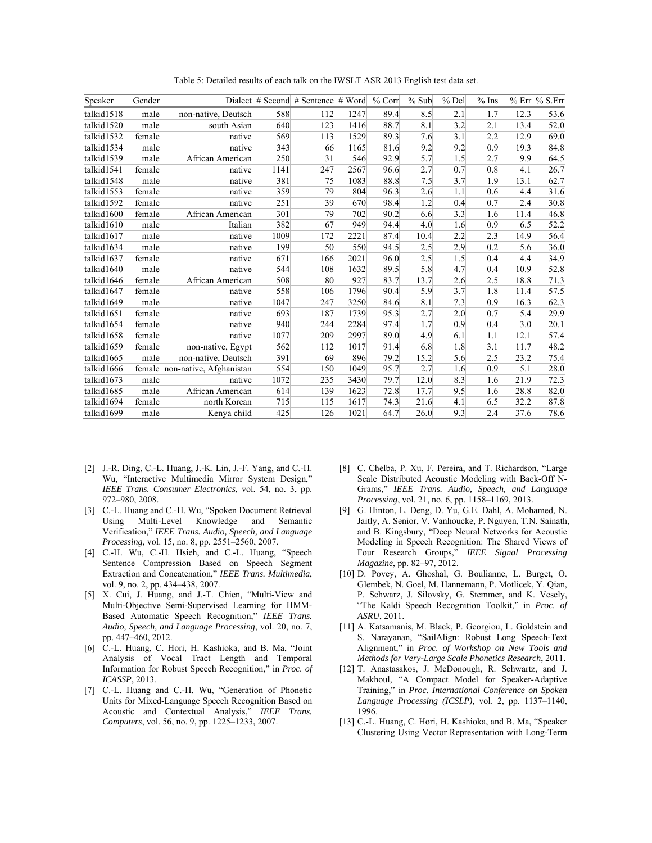| Speaker    | Gender |                         |      | Dialect # Second # Sentence # Word |      | $%$ Corr | % Sub | % Del | $%$ Ins |      | % Err % S.Err |
|------------|--------|-------------------------|------|------------------------------------|------|----------|-------|-------|---------|------|---------------|
| talkid1518 | male   | non-native, Deutsch     | 588  | 112                                | 1247 | 89.4     | 8.5   | 2.1   | 1.7     | 12.3 | 53.6          |
| talkid1520 | male   | south Asian             | 640  | 123                                | 1416 | 88.7     | 8.1   | 3.2   | 2.1     | 13.4 | 52.0          |
| talkid1532 | female | native                  | 569  | 113                                | 1529 | 89.3     | 7.6   | 3.1   | 2.2     | 12.9 | 69.0          |
| talkid1534 | male   | native                  | 343  | 66                                 | 1165 | 81.6     | 9.2   | 9.2   | 0.9     | 19.3 | 84.8          |
| talkid1539 | male   | African American        | 250  | 31                                 | 546  | 92.9     | 5.7   | 1.5   | 2.7     | 9.9  | 64.5          |
| talkid1541 | female | native                  | 1141 | 247                                | 2567 | 96.6     | 2.7   | 0.7   | 0.8     | 4.1  | 26.7          |
| talkid1548 | male   | native                  | 381  | 75                                 | 1083 | 88.8     | 7.5   | 3.7   | 1.9     | 13.1 | 62.7          |
| talkid1553 | female | native                  | 359  | 79                                 | 804  | 96.3     | 2.6   | 1.1   | 0.6     | 4.4  | 31.6          |
| talkid1592 | female | native                  | 251  | 39                                 | 670  | 98.4     | 1.2   | 0.4   | 0.7     | 2.4  | 30.8          |
| talkid1600 | female | African American        | 301  | 79                                 | 702  | 90.2     | 6.6   | 3.3   | 1.6     | 11.4 | 46.8          |
| talkid1610 | male   | Italian                 | 382  | 67                                 | 949  | 94.4     | 4.0   | 1.6   | 0.9     | 6.5  | 52.2          |
| talkid1617 | male   | native                  | 1009 | 172                                | 2221 | 87.4     | 10.4  | 2.2   | 2.3     | 14.9 | 56.4          |
| talkid1634 | male   | native                  | 199  | 50                                 | 550  | 94.5     | 2.5   | 2.9   | 0.2     | 5.6  | 36.0          |
| talkid1637 | female | native                  | 671  | 166                                | 2021 | 96.0     | 2.5   | 1.5   | 0.4     | 4.4  | 34.9          |
| talkid1640 | male   | native                  | 544  | 108                                | 1632 | 89.5     | 5.8   | 4.7   | 0.4     | 10.9 | 52.8          |
| talkid1646 | female | African American        | 508  | 80                                 | 927  | 83.7     | 13.7  | 2.6   | 2.5     | 18.8 | 71.3          |
| talkid1647 | female | native                  | 558  | 106                                | 1796 | 90.4     | 5.9   | 3.7   | 1.8     | 11.4 | 57.5          |
| talkid1649 | male   | native                  | 1047 | 247                                | 3250 | 84.6     | 8.1   | 7.3   | 0.9     | 16.3 | 62.3          |
| talkid1651 | female | native                  | 693  | 187                                | 1739 | 95.3     | 2.7   | 2.0   | 0.7     | 5.4  | 29.9          |
| talkid1654 | female | native                  | 940  | 244                                | 2284 | 97.4     | 1.7   | 0.9   | 0.4     | 3.0  | 20.1          |
| talkid1658 | female | native                  | 1077 | 209                                | 2997 | 89.0     | 4.9   | 6.1   | 1.1     | 12.1 | 57.4          |
| talkid1659 | female | non-native, Egypt       | 562  | 112                                | 1017 | 91.4     | 6.8   | 1.8   | 3.1     | 11.7 | 48.2          |
| talkid1665 | male   | non-native, Deutsch     | 391  | 69                                 | 896  | 79.2     | 15.2  | 5.6   | 2.5     | 23.2 | 75.4          |
| talkid1666 | female | non-native, Afghanistan | 554  | 150                                | 1049 | 95.7     | 2.7   | 1.6   | 0.9     | 5.1  | 28.0          |
| talkid1673 | male   | native                  | 1072 | 235                                | 3430 | 79.7     | 12.0  | 8.3   | 1.6     | 21.9 | 72.3          |
| talkid1685 | male   | African American        | 614  | 139                                | 1623 | 72.8     | 17.7  | 9.5   | 1.6     | 28.8 | 82.0          |
| talkid1694 | female | north Korean            | 715  | 115                                | 1617 | 74.3     | 21.6  | 4.1   | 6.5     | 32.2 | 87.8          |
| talkid1699 | male   | Kenya child             | 425  | 126                                | 1021 | 64.7     | 26.0  | 9.3   | 2.4     | 37.6 | 78.6          |

Table 5: Detailed results of each talk on the IWSLT ASR 2013 English test data set.

- [2] J.-R. Ding, C.-L. Huang, J.-K. Lin, J.-F. Yang, and C.-H. Wu, "Interactive Multimedia Mirror System Design," *IEEE Trans. Consumer Electronics*, vol. 54, no. 3, pp. 972–980, 2008.
- [3] C.-L. Huang and C.-H. Wu, "Spoken Document Retrieval Using Multi-Level Knowledge and Semantic Verification," *IEEE Trans. Audio, Speech, and Language Processing*, vol. 15, no. 8, pp. 2551–2560, 2007.
- [4] C.-H. Wu, C.-H. Hsieh, and C.-L. Huang, "Speech Sentence Compression Based on Speech Segment Extraction and Concatenation," *IEEE Trans. Multimedia*, vol. 9, no. 2, pp. 434–438, 2007.
- [5] X. Cui, J. Huang, and J.-T. Chien, "Multi-View and Multi-Objective Semi-Supervised Learning for HMM-Based Automatic Speech Recognition," *IEEE Trans. Audio, Speech, and Language Processing*, vol. 20, no. 7, pp. 447–460, 2012.
- [6] C.-L. Huang, C. Hori, H. Kashioka, and B. Ma, "Joint Analysis of Vocal Tract Length and Temporal Information for Robust Speech Recognition," in *Proc. of ICASSP*, 2013.
- [7] C.-L. Huang and C.-H. Wu, "Generation of Phonetic Units for Mixed-Language Speech Recognition Based on Acoustic and Contextual Analysis," *IEEE Trans. Computers*, vol. 56, no. 9, pp. 1225–1233, 2007.
- [8] C. Chelba, P. Xu, F. Pereira, and T. Richardson, "Large Scale Distributed Acoustic Modeling with Back-Off N-Grams," *IEEE Trans. Audio, Speech, and Language Processing*, vol. 21, no. 6, pp. 1158–1169, 2013.
- [9] G. Hinton, L. Deng, D. Yu, G.E. Dahl, A. Mohamed, N. Jaitly, A. Senior, V. Vanhoucke, P. Nguyen, T.N. Sainath, and B. Kingsbury, "Deep Neural Networks for Acoustic Modeling in Speech Recognition: The Shared Views of Four Research Groups," *IEEE Signal Processing Magazine*, pp. 82–97, 2012.
- [10] D. Povey, A. Ghoshal, G. Boulianne, L. Burget, O. Glembek, N. Goel, M. Hannemann, P. Motlicek, Y. Qian, P. Schwarz, J. Silovsky, G. Stemmer, and K. Vesely, "The Kaldi Speech Recognition Toolkit," in *Proc. of ASRU*, 2011.
- [11] A. Katsamanis, M. Black, P. Georgiou, L. Goldstein and S. Narayanan, "SailAlign: Robust Long Speech-Text Alignment," in *Proc. of Workshop on New Tools and Methods for Very-Large Scale Phonetics Research*, 2011.
- [12] T. Anastasakos, J. McDonough, R. Schwartz, and J. Makhoul, "A Compact Model for Speaker-Adaptive Training," in *Proc. International Conference on Spoken Language Processing (ICSLP)*, vol. 2, pp. 1137–1140, 1996.
- [13] C.-L. Huang, C. Hori, H. Kashioka, and B. Ma, "Speaker Clustering Using Vector Representation with Long-Term